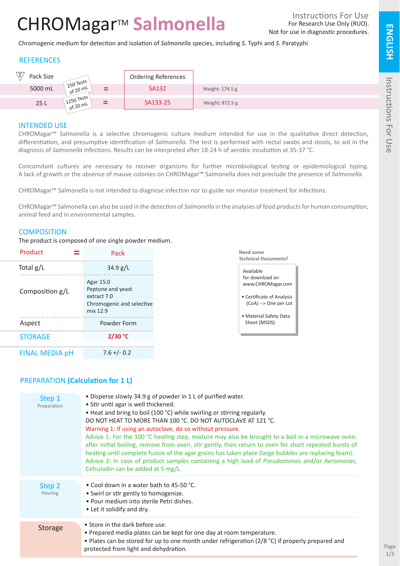# CHROMagar<sup>™</sup> Salmonella

Chromogenic medium for detection and isolation of *Salmonella* species, including *S.* Typhi and *S.* Paratyphi

### **REFERENCES**

| ιΣ,<br>Pack Size | $250$ Tests                     | <b>Ordering References</b> |                 |
|------------------|---------------------------------|----------------------------|-----------------|
| 5000 mL          | $=$<br>of 20 ml                 | <b>SA132</b>               | Weight: 174.5 g |
| 25L              | $1250$ Tests<br>$=$<br>of 20 mL | SA133-25                   | Weight: 872.5 g |

### INTENDED USE

CHROMagar™ Salmonella is a selective chromogenic culture medium intended for use in the qualitative direct detection, differentiation, and presumptive identification of *Salmonella*. The test is performed with rectal swabs and stools, to aid in the diagnosis of *Salmonella* infections. Results can be interpreted after 18-24 h of aerobic incubation at 35-37 °C.

Concomitant cultures are necessary to recover organisms for further microbiological testing or epidemiological typing. A lack of growth or the absence of mauve colonies on CHROMagar™ Salmonella does not preclude the presence of *Salmonella.*

CHROMagar™ Salmonella is not intended to diagnose infection nor to guide nor monitor treatment for infections.

CHROMagar™ Salmonella can also be used in the detection of *Salmonella* in the analyses of food products for human consumption, animal feed and in environmental samples.

### **COMPOSITION**

The product is composed of one single powder medium.

| Product               | Pack                                                                                   |  |
|-----------------------|----------------------------------------------------------------------------------------|--|
| Total $g/L$           | 34.9 g/L                                                                               |  |
| Composition g/L       | Agar 15.0<br>Peptone and yeast<br>extract 7.0<br>Chromogenic and selective<br>mix 12.9 |  |
| Aspect                | Powder Form                                                                            |  |
| <b>STORAGE</b>        | 2/30 °C                                                                                |  |
| <b>FINAL MEDIA pH</b> | $7.6 + (-0.2)$                                                                         |  |



**Technical Documents?**

**Need some** 

### PREPARATION **(Calculation for 1 L)**

| Step 1<br>Preparation | • Disperse slowly 34.9 g of powder in 1 L of purified water.<br>• Stir until agar is well thickened.<br>• Heat and bring to boil (100 °C) while swirling or stirring regularly.<br>DO NOT HEAT TO MORE THAN 100 °C. DO NOT AUTOCLAVE AT 121 °C.<br>Warning 1: If using an autoclave, do so without pressure.<br>Advice 1: For the 100 °C heating step, mixture may also be brought to a boil in a microwave oven:<br>after initial boiling, remove from oven, stir gently, then return to oven for short repeated bursts of<br>heating until complete fusion of the agar grains has taken place (large bubbles are replacing foam).<br>Advice 2: In case of product samples containing a high load of Pseudomonas and/or Aeromonas,<br>Cefsulodin can be added at 5 mg/L. |
|-----------------------|---------------------------------------------------------------------------------------------------------------------------------------------------------------------------------------------------------------------------------------------------------------------------------------------------------------------------------------------------------------------------------------------------------------------------------------------------------------------------------------------------------------------------------------------------------------------------------------------------------------------------------------------------------------------------------------------------------------------------------------------------------------------------|
| Step 2<br>Pouring     | • Cool down in a water bath to 45-50 °C.<br>• Swirl or stir gently to homogenize.<br>• Pour medium into sterile Petri dishes.<br>• Let it solidify and dry.                                                                                                                                                                                                                                                                                                                                                                                                                                                                                                                                                                                                               |
| <b>Storage</b>        | • Store in the dark before use.<br>• Prepared media plates can be kept for one day at room temperature.<br>• Plates can be stored for up to one month under refrigeration ( $2/8$ °C) if properly prepared and<br>protected from light and dehydration.                                                                                                                                                                                                                                                                                                                                                                                                                                                                                                                   |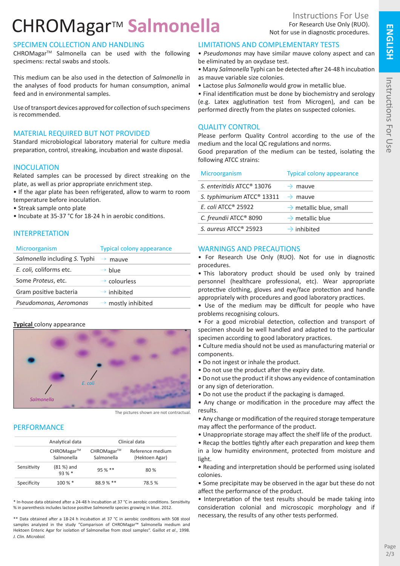## CHROMagar<sup>™</sup> Salmonella

#### SPECIMEN COLLECTION AND HANDLING

CHROMagarTM Salmonella can be used with the following specimens: rectal swabs and stools.

This medium can be also used in the detection of *Salmonella* in the analyses of food products for human consumption, animal feed and in environmental samples.

Use of transport devices approved for collection of such specimens is recommended.

#### MATERIAL REQUIRED BUT NOT PROVIDED

Standard microbiological laboratory material for culture media preparation, control, streaking, incubation and waste disposal.

#### **INOCULATION**

Related samples can be processed by direct streaking on the plate, as well as prior appropriate enrichment step.

• If the agar plate has been refrigerated, allow to warm to room temperature before inoculation.

• Streak sample onto plate

• Incubate at 35-37 °C for 18-24 h in aerobic conditions.

#### INTERPRETATION

| <b>Microorganism</b>                 | <b>Typical colony appearance</b> |
|--------------------------------------|----------------------------------|
| <i>Salmonella</i> including S. Typhi | $\rightarrow$<br>mauve           |
| E. coli, coliforms etc.              | $\rightarrow$ blue               |
| Some <i>Proteus</i> , etc.           | $\rightarrow$ colourless         |
| Gram positive bacteria               | $\rightarrow$ inhibited          |
| Pseudomonas, Aeromonas               | $\rightarrow$ mostly inhibited   |

#### **Typical** colony appearance



The pictures shown are not contractual.

#### **PERFORMANCE**

|             | Analytical data          | Clinical data            |                                    |
|-------------|--------------------------|--------------------------|------------------------------------|
|             | CHROMagar™<br>Salmonella | CHROMagar™<br>Salmonella | Reference medium<br>(Hektoen Agar) |
| Sensitivity | $(81%)$ and<br>93%       | $95%$ **                 | 80 %                               |
| Specificity | $100 \%$ *               | $88.9%$ **               | 78.5%                              |

\* In-house data obtained after a 24-48 h incubation at 37 °C in aerobic conditions. Sensitivity % in parenthesis includes lactose positive *Salmonella* species growing in blue. 2012.

\*\* Data obtained after a 18-24 h incubation at 37 °C in aerobic conditions with 508 stool samples analyzed in the study "Comparison of CHROMagar™ Salmonella medium and Hektoen Enteric Agar for isolation of Salmonellae from stool samples". Gaillot *et al*., 1998. *J. Clin. Microbiol.*

#### LIMITATIONS AND COMPLEMENTARY TESTS

• *Pseudomonas* may have similar mauve colony aspect and can be eliminated by an oxydase test.

• Many *Salmonella* Typhi can be detected after 24-48 h incubation as mauve variable size colonies.

• Lactose plus *Salmonella* would grow in metallic blue.

• Final identification must be done by biochemistry and serology (e.g. Latex agglutination test from Microgen), and can be performed directly from the plates on suspected colonies.

#### QUALITY CONTROL

Please perform Quality Control according to the use of the medium and the local QC regulations and norms.

Good preparation of the medium can be tested, isolating the following ATCC strains:

| Microorganism                          | <b>Typical colony appearance</b>   |
|----------------------------------------|------------------------------------|
| S. enteritidis ATCC <sup>®</sup> 13076 | $\rightarrow$ mauve                |
| S. typhimurium ATCC <sup>®</sup> 13311 | $\rightarrow$ mauve                |
| E. coli ATCC <sup>®</sup> 25922        | $\rightarrow$ metallic blue, small |
| C. freundii ATCC <sup>®</sup> 8090     | $\rightarrow$ metallic blue        |
| S. aureus $ATCC^{\circ}$ 25923         | $\rightarrow$ inhibited            |

#### WARNINGS AND PRECAUTIONS

• For Research Use Only (RUO). Not for use in diagnostic procedures.

• This laboratory product should be used only by trained personnel (healthcare professional, etc). Wear appropriate protective clothing, gloves and eye/face protection and handle appropriately with procedures and good laboratory practices.

• Use of the medium may be difficult for people who have problems recognising colours.

• For a good microbial detection, collection and transport of specimen should be well handled and adapted to the particular specimen according to good laboratory practices.

• Culture media should not be used as manufacturing material or components.

- Do not ingest or inhale the product.
- Do not use the product after the expiry date.

• Do not use the product if it shows any evidence of contamination or any sign of deterioration.

• Do not use the product if the packaging is damaged.

• Any change or modification in the procedure may affect the results.

• Any change or modification of the required storage temperature may affect the performance of the product.

• Unappropriate storage may affect the shelf life of the product.

• Recap the bottles tightly after each preparation and keep them in a low humidity environment, protected from moisture and light.

• Reading and interpretation should be performed using isolated colonies.

• Some precipitate may be observed in the agar but these do not affect the performance of the product.

• Interpretation of the test results should be made taking into consideration colonial and microscopic morphology and if necessary, the results of any other tests performed.

**ENGLISH**